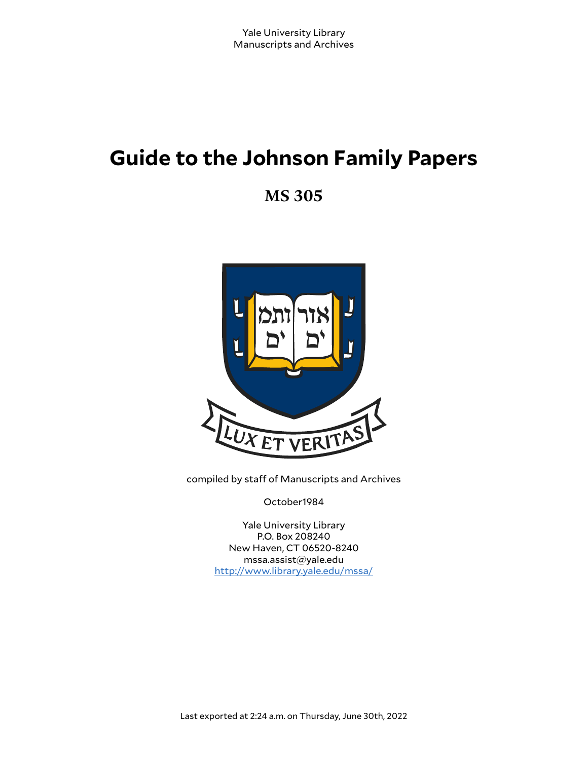# **Guide to the Johnson Family Papers**

**MS 305**



compiled by staff of Manuscripts and Archives

October1984

Yale University Library P.O. Box 208240 New Haven, CT 06520-8240 mssa.assist@yale.edu <http://www.library.yale.edu/mssa/>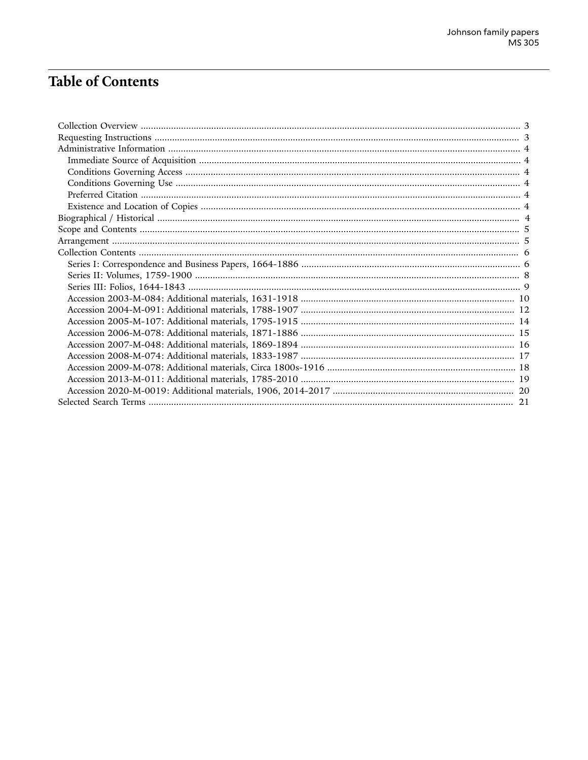# **Table of Contents**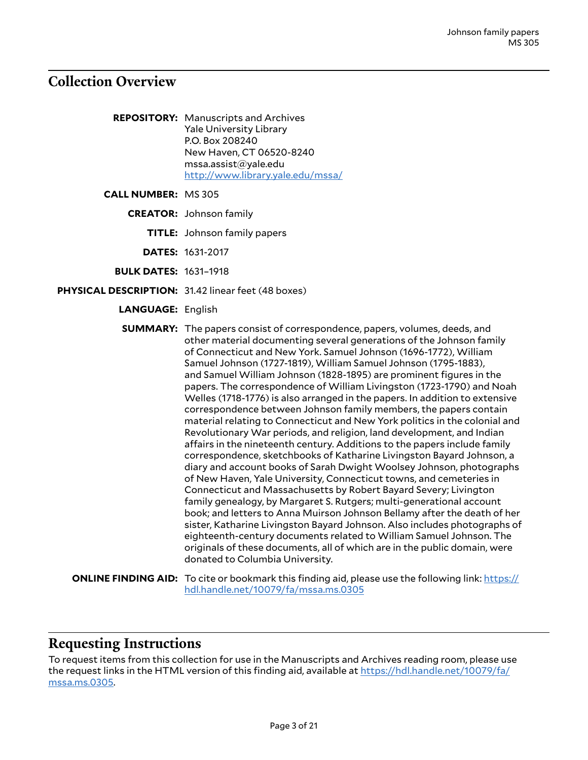### <span id="page-2-0"></span>**Collection Overview**

**REPOSITORY:** Manuscripts and Archives Yale University Library P.O. Box 208240 New Haven, CT 06520-8240 mssa.assist@yale.edu <http://www.library.yale.edu/mssa/>

**CALL NUMBER:** MS 305

**CREATOR:** Johnson family

**TITLE:** Johnson family papers

**DATES:** 1631-2017

**BULK DATES:** 1631–1918

- **PHYSICAL DESCRIPTION:** 31.42 linear feet (48 boxes)
	- **LANGUAGE:** English

**SUMMARY:** The papers consist of correspondence, papers, volumes, deeds, and other material documenting several generations of the Johnson family of Connecticut and New York. Samuel Johnson (1696-1772), William Samuel Johnson (1727-1819), William Samuel Johnson (1795-1883), and Samuel William Johnson (1828-1895) are prominent figures in the papers. The correspondence of William Livingston (1723-1790) and Noah Welles (1718-1776) is also arranged in the papers. In addition to extensive correspondence between Johnson family members, the papers contain material relating to Connecticut and New York politics in the colonial and Revolutionary War periods, and religion, land development, and Indian affairs in the nineteenth century. Additions to the papers include family correspondence, sketchbooks of Katharine Livingston Bayard Johnson, a diary and account books of Sarah Dwight Woolsey Johnson, photographs of New Haven, Yale University, Connecticut towns, and cemeteries in Connecticut and Massachusetts by Robert Bayard Severy; Livington family genealogy, by Margaret S. Rutgers; multi-generational account book; and letters to Anna Muirson Johnson Bellamy after the death of her sister, Katharine Livingston Bayard Johnson. Also includes photographs of eighteenth-century documents related to William Samuel Johnson. The originals of these documents, all of which are in the public domain, were donated to Columbia University.

**ONLINE FINDING AID:** To cite or bookmark this finding aid, please use the following link: [https://](https://hdl.handle.net/10079/fa/mssa.ms.0305) [hdl.handle.net/10079/fa/mssa.ms.0305](https://hdl.handle.net/10079/fa/mssa.ms.0305)

#### <span id="page-2-1"></span>**Requesting Instructions**

To request items from this collection for use in the Manuscripts and Archives reading room, please use the request links in the HTML version of this finding aid, available at [https://hdl.handle.net/10079/fa/](https://hdl.handle.net/10079/fa/mssa.ms.0305) [mssa.ms.0305](https://hdl.handle.net/10079/fa/mssa.ms.0305).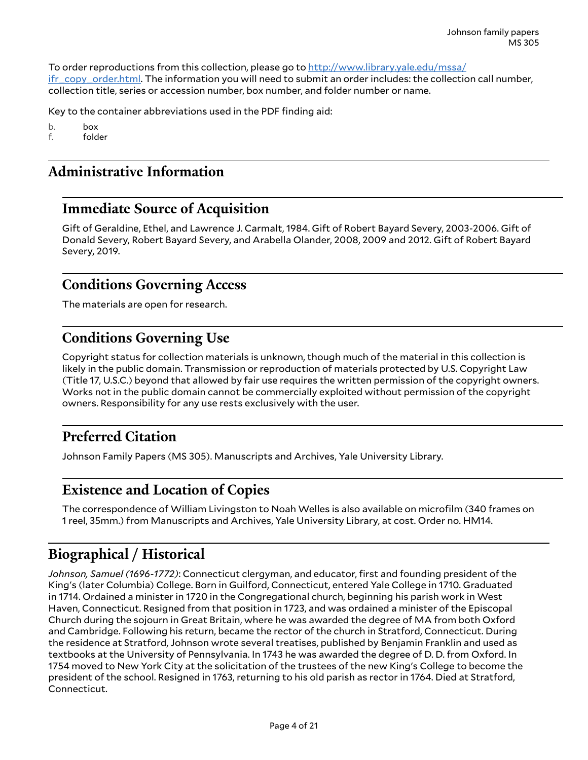To order reproductions from this collection, please go to [http://www.library.yale.edu/mssa/](http://www.library.yale.edu/mssa/ifr_copy_order.html) [ifr\\_copy\\_order.html.](http://www.library.yale.edu/mssa/ifr_copy_order.html) The information you will need to submit an order includes: the collection call number, collection title, series or accession number, box number, and folder number or name.

Key to the container abbreviations used in the PDF finding aid:

b. box

f. folder

# <span id="page-3-0"></span>**Administrative Information**

### <span id="page-3-1"></span>**Immediate Source of Acquisition**

Gift of Geraldine, Ethel, and Lawrence J. Carmalt, 1984. Gift of Robert Bayard Severy, 2003-2006. Gift of Donald Severy, Robert Bayard Severy, and Arabella Olander, 2008, 2009 and 2012. Gift of Robert Bayard Severy, 2019.

### <span id="page-3-2"></span>**Conditions Governing Access**

The materials are open for research.

### <span id="page-3-3"></span>**Conditions Governing Use**

Copyright status for collection materials is unknown, though much of the material in this collection is likely in the public domain. Transmission or reproduction of materials protected by U.S. Copyright Law (Title 17, U.S.C.) beyond that allowed by fair use requires the written permission of the copyright owners. Works not in the public domain cannot be commercially exploited without permission of the copyright owners. Responsibility for any use rests exclusively with the user.

# <span id="page-3-4"></span>**Preferred Citation**

Johnson Family Papers (MS 305). Manuscripts and Archives, Yale University Library.

### <span id="page-3-5"></span>**Existence and Location of Copies**

The correspondence of William Livingston to Noah Welles is also available on microfilm (340 frames on 1 reel, 35mm.) from Manuscripts and Archives, Yale University Library, at cost. Order no. HM14.

# <span id="page-3-6"></span>**Biographical / Historical**

*Johnson, Samuel (1696-1772)*: Connecticut clergyman, and educator, first and founding president of the King's (later Columbia) College. Born in Guilford, Connecticut, entered Yale College in 1710. Graduated in 1714. Ordained a minister in 1720 in the Congregational church, beginning his parish work in West Haven, Connecticut. Resigned from that position in 1723, and was ordained a minister of the Episcopal Church during the sojourn in Great Britain, where he was awarded the degree of MA from both Oxford and Cambridge. Following his return, became the rector of the church in Stratford, Connecticut. During the residence at Stratford, Johnson wrote several treatises, published by Benjamin Franklin and used as textbooks at the University of Pennsylvania. In 1743 he was awarded the degree of D. D. from Oxford. In 1754 moved to New York City at the solicitation of the trustees of the new King's College to become the president of the school. Resigned in 1763, returning to his old parish as rector in 1764. Died at Stratford, Connecticut.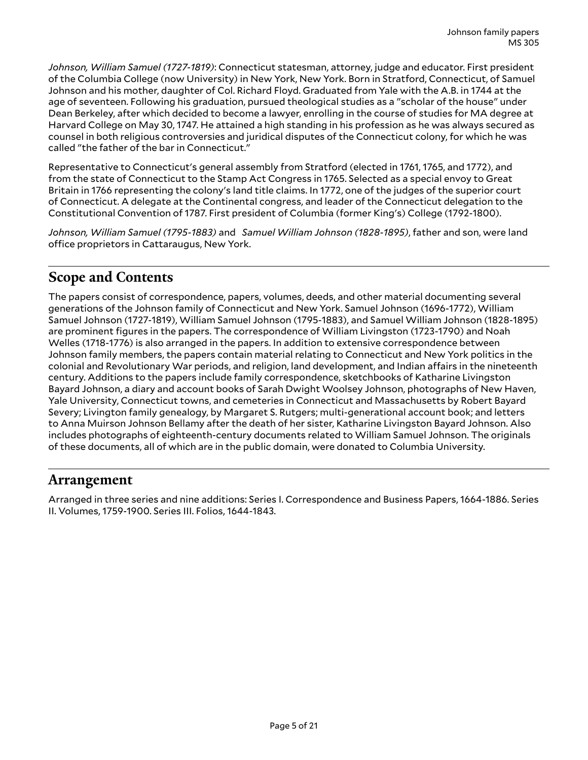*Johnson, William Samuel (1727-1819)*: Connecticut statesman, attorney, judge and educator. First president of the Columbia College (now University) in New York, New York. Born in Stratford, Connecticut, of Samuel Johnson and his mother, daughter of Col. Richard Floyd. Graduated from Yale with the A.B. in 1744 at the age of seventeen. Following his graduation, pursued theological studies as a "scholar of the house" under Dean Berkeley, after which decided to become a lawyer, enrolling in the course of studies for MA degree at Harvard College on May 30, 1747. He attained a high standing in his profession as he was always secured as counsel in both religious controversies and juridical disputes of the Connecticut colony, for which he was called "the father of the bar in Connecticut."

Representative to Connecticut's general assembly from Stratford (elected in 1761, 1765, and 1772), and from the state of Connecticut to the Stamp Act Congress in 1765. Selected as a special envoy to Great Britain in 1766 representing the colony's land title claims. In 1772, one of the judges of the superior court of Connecticut. A delegate at the Continental congress, and leader of the Connecticut delegation to the Constitutional Convention of 1787. First president of Columbia (former King's) College (1792-1800).

*Johnson, William Samuel (1795-1883)* and *Samuel William Johnson (1828-1895)*, father and son, were land office proprietors in Cattaraugus, New York.

# <span id="page-4-0"></span>**Scope and Contents**

The papers consist of correspondence, papers, volumes, deeds, and other material documenting several generations of the Johnson family of Connecticut and New York. Samuel Johnson (1696-1772), William Samuel Johnson (1727-1819), William Samuel Johnson (1795-1883), and Samuel William Johnson (1828-1895) are prominent figures in the papers. The correspondence of William Livingston (1723-1790) and Noah Welles (1718-1776) is also arranged in the papers. In addition to extensive correspondence between Johnson family members, the papers contain material relating to Connecticut and New York politics in the colonial and Revolutionary War periods, and religion, land development, and Indian affairs in the nineteenth century. Additions to the papers include family correspondence, sketchbooks of Katharine Livingston Bayard Johnson, a diary and account books of Sarah Dwight Woolsey Johnson, photographs of New Haven, Yale University, Connecticut towns, and cemeteries in Connecticut and Massachusetts by Robert Bayard Severy; Livington family genealogy, by Margaret S. Rutgers; multi-generational account book; and letters to Anna Muirson Johnson Bellamy after the death of her sister, Katharine Livingston Bayard Johnson. Also includes photographs of eighteenth-century documents related to William Samuel Johnson. The originals of these documents, all of which are in the public domain, were donated to Columbia University.

### <span id="page-4-1"></span>**Arrangement**

Arranged in three series and nine additions: Series I. Correspondence and Business Papers, 1664-1886. Series II. Volumes, 1759-1900. Series III. Folios, 1644-1843.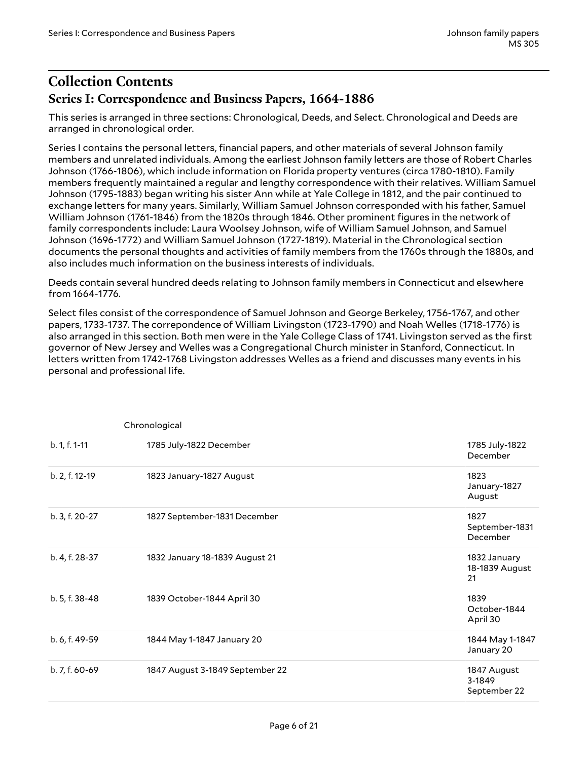# <span id="page-5-1"></span><span id="page-5-0"></span>**Collection Contents Series I: Correspondence and Business Papers, 1664-1886**

This series is arranged in three sections: Chronological, Deeds, and Select. Chronological and Deeds are arranged in chronological order.

Series I contains the personal letters, financial papers, and other materials of several Johnson family members and unrelated individuals. Among the earliest Johnson family letters are those of Robert Charles Johnson (1766-1806), which include information on Florida property ventures (circa 1780-1810). Family members frequently maintained a regular and lengthy correspondence with their relatives. William Samuel Johnson (1795-1883) began writing his sister Ann while at Yale College in 1812, and the pair continued to exchange letters for many years. Similarly, William Samuel Johnson corresponded with his father, Samuel William Johnson (1761-1846) from the 1820s through 1846. Other prominent figures in the network of family correspondents include: Laura Woolsey Johnson, wife of William Samuel Johnson, and Samuel Johnson (1696-1772) and William Samuel Johnson (1727-1819). Material in the Chronological section documents the personal thoughts and activities of family members from the 1760s through the 1880s, and also includes much information on the business interests of individuals.

Deeds contain several hundred deeds relating to Johnson family members in Connecticut and elsewhere from 1664-1776.

Select files consist of the correspondence of Samuel Johnson and George Berkeley, 1756-1767, and other papers, 1733-1737. The correpondence of William Livingston (1723-1790) and Noah Welles (1718-1776) is also arranged in this section. Both men were in the Yale College Class of 1741. Livingston served as the first governor of New Jersey and Welles was a Congregational Church minister in Stanford, Connecticut. In letters written from 1742-1768 Livingston addresses Welles as a friend and discusses many events in his personal and professional life.

|                | Chronological                   |                                       |
|----------------|---------------------------------|---------------------------------------|
| b. 1, f. 1-11  | 1785 July-1822 December         | 1785 July-1822<br>December            |
| b. 2, f. 12-19 | 1823 January-1827 August        | 1823<br>January-1827<br>August        |
| b. 3, f. 20-27 | 1827 September-1831 December    | 1827<br>September-1831<br>December    |
| b. 4, f. 28-37 | 1832 January 18-1839 August 21  | 1832 January<br>18-1839 August<br>21  |
| b. 5, f. 38-48 | 1839 October-1844 April 30      | 1839<br>October-1844<br>April 30      |
| b. 6, f. 49-59 | 1844 May 1-1847 January 20      | 1844 May 1-1847<br>January 20         |
| b. 7, f. 60-69 | 1847 August 3-1849 September 22 | 1847 August<br>3-1849<br>September 22 |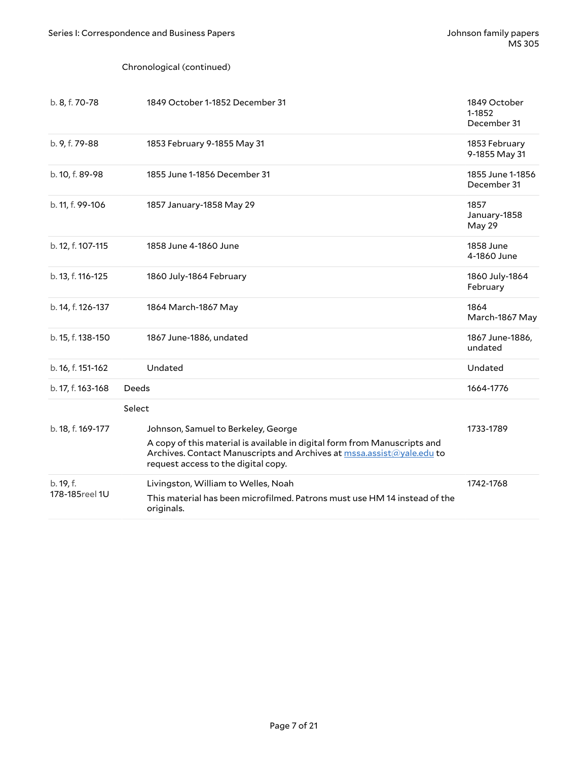#### Chronological (continued)

| b. 8, f. 70-78              | 1849 October 1-1852 December 31                                                                                                                                                                                                  | 1849 October<br>1-1852<br>December 31 |
|-----------------------------|----------------------------------------------------------------------------------------------------------------------------------------------------------------------------------------------------------------------------------|---------------------------------------|
| b. 9, f. 79-88              | 1853 February 9-1855 May 31                                                                                                                                                                                                      | 1853 February<br>9-1855 May 31        |
| b. 10, f. 89-98             | 1855 June 1-1856 December 31                                                                                                                                                                                                     | 1855 June 1-1856<br>December 31       |
| b. 11, f. 99-106            | 1857 January-1858 May 29                                                                                                                                                                                                         | 1857<br>January-1858<br>May 29        |
| b. 12, f. 107-115           | 1858 June 4-1860 June                                                                                                                                                                                                            | 1858 June<br>4-1860 June              |
| b. 13, f. 116-125           | 1860 July-1864 February                                                                                                                                                                                                          | 1860 July-1864<br>February            |
| b. 14, f. 126-137           | 1864 March-1867 May                                                                                                                                                                                                              | 1864<br>March-1867 May                |
| b. 15, f. 138-150           | 1867 June-1886, undated                                                                                                                                                                                                          | 1867 June-1886,<br>undated            |
| b. 16, f. 151-162           | Undated                                                                                                                                                                                                                          | Undated                               |
| b. 17, f. 163-168           | Deeds                                                                                                                                                                                                                            | 1664-1776                             |
|                             | Select                                                                                                                                                                                                                           |                                       |
| b. 18, f. 169-177           | Johnson, Samuel to Berkeley, George<br>A copy of this material is available in digital form from Manuscripts and<br>Archives. Contact Manuscripts and Archives at mssa.assist@yale.edu to<br>request access to the digital copy. | 1733-1789                             |
| b. 19, f.<br>178-185reel 1U | Livingston, William to Welles, Noah<br>This material has been microfilmed. Patrons must use HM 14 instead of the<br>originals.                                                                                                   | 1742-1768                             |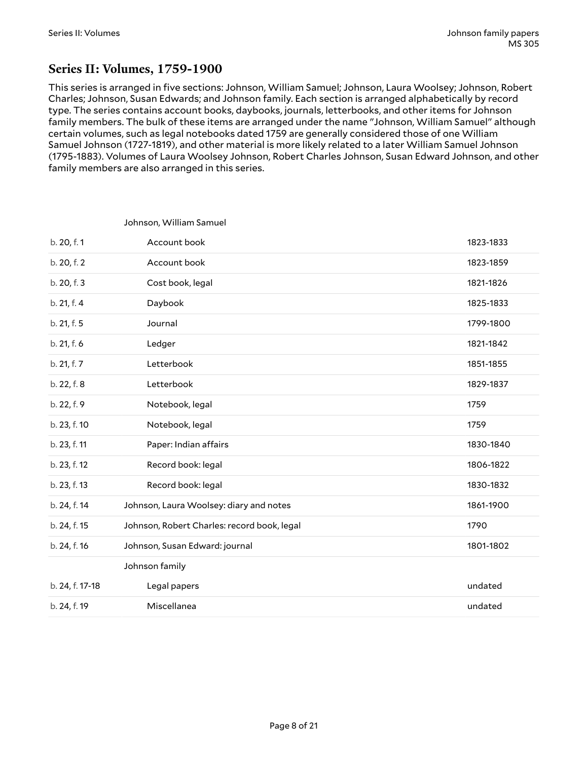### <span id="page-7-0"></span>**Series II: Volumes, 1759-1900**

Johnson, William Samuel

This series is arranged in five sections: Johnson, William Samuel; Johnson, Laura Woolsey; Johnson, Robert Charles; Johnson, Susan Edwards; and Johnson family. Each section is arranged alphabetically by record type. The series contains account books, daybooks, journals, letterbooks, and other items for Johnson family members. The bulk of these items are arranged under the name "Johnson, William Samuel" although certain volumes, such as legal notebooks dated 1759 are generally considered those of one William Samuel Johnson (1727-1819), and other material is more likely related to a later William Samuel Johnson (1795-1883). Volumes of Laura Woolsey Johnson, Robert Charles Johnson, Susan Edward Johnson, and other family members are also arranged in this series.

| b. 20, f. 1     | Account book                                | 1823-1833 |
|-----------------|---------------------------------------------|-----------|
| b. 20, f. 2     | Account book                                | 1823-1859 |
| b. 20, f. 3     | Cost book, legal                            | 1821-1826 |
| b. 21, f. 4     | Daybook                                     | 1825-1833 |
| b. 21, f. 5     | Journal                                     | 1799-1800 |
| b. 21, f. 6     | Ledger                                      | 1821-1842 |
| b. 21, f. 7     | Letterbook                                  | 1851-1855 |
| b. 22, f. 8     | Letterbook                                  | 1829-1837 |
| b. 22, f. 9     | Notebook, legal                             | 1759      |
| b. 23, f. 10    | Notebook, legal                             | 1759      |
| b. 23, f. 11    | Paper: Indian affairs                       | 1830-1840 |
| b. 23, f. 12    | Record book: legal                          | 1806-1822 |
| b. 23, f. 13    | Record book: legal                          | 1830-1832 |
| b. 24, f. 14    | Johnson, Laura Woolsey: diary and notes     | 1861-1900 |
| b. 24, f. 15    | Johnson, Robert Charles: record book, legal | 1790      |
| b. 24, f. 16    | Johnson, Susan Edward: journal              | 1801-1802 |
|                 | Johnson family                              |           |
| b. 24, f. 17-18 | Legal papers                                | undated   |
| b. 24, f. 19    | Miscellanea                                 | undated   |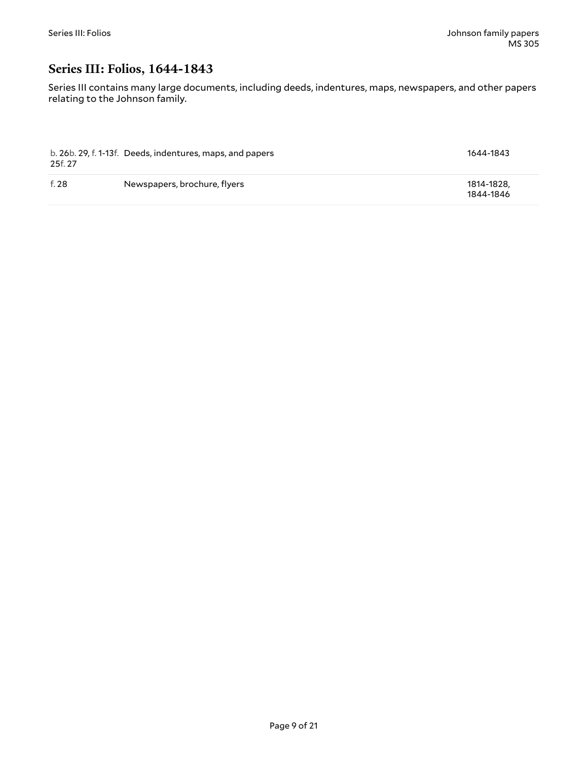### <span id="page-8-0"></span>**Series III: Folios, 1644-1843**

Series III contains many large documents, including deeds, indentures, maps, newspapers, and other papers relating to the Johnson family.

| 25f. 27 | b. 26b. 29, f. 1-13f. Deeds, indentures, maps, and papers | 1644-1843               |
|---------|-----------------------------------------------------------|-------------------------|
| f. 28   | Newspapers, brochure, flyers                              | 1814-1828.<br>1844-1846 |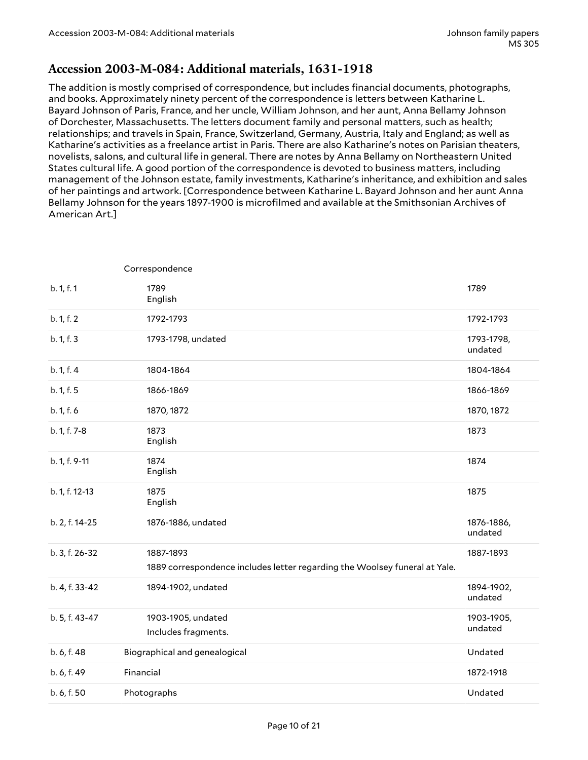#### <span id="page-9-0"></span>**Accession 2003-M-084: Additional materials, 1631-1918**

The addition is mostly comprised of correspondence, but includes financial documents, photographs, and books. Approximately ninety percent of the correspondence is letters between Katharine L. Bayard Johnson of Paris, France, and her uncle, William Johnson, and her aunt, Anna Bellamy Johnson of Dorchester, Massachusetts. The letters document family and personal matters, such as health; relationships; and travels in Spain, France, Switzerland, Germany, Austria, Italy and England; as well as Katharine's activities as a freelance artist in Paris. There are also Katharine's notes on Parisian theaters, novelists, salons, and cultural life in general. There are notes by Anna Bellamy on Northeastern United States cultural life. A good portion of the correspondence is devoted to business matters, including management of the Johnson estate, family investments, Katharine's inheritance, and exhibition and sales of her paintings and artwork. [Correspondence between Katharine L. Bayard Johnson and her aunt Anna Bellamy Johnson for the years 1897-1900 is microfilmed and available at the Smithsonian Archives of American Art.]

|                | Correspondence                                                             |                       |
|----------------|----------------------------------------------------------------------------|-----------------------|
| b. 1, f. 1     | 1789<br>English                                                            | 1789                  |
| b. 1, f. 2     | 1792-1793                                                                  | 1792-1793             |
| b. 1, f. 3     | 1793-1798, undated                                                         | 1793-1798,<br>undated |
| b. 1, f. 4     | 1804-1864                                                                  | 1804-1864             |
| b. 1, f. 5     | 1866-1869                                                                  | 1866-1869             |
| b. 1, f. 6     | 1870, 1872                                                                 | 1870, 1872            |
| b. 1, f. 7-8   | 1873<br>English                                                            | 1873                  |
| b. 1, f. 9-11  | 1874<br>English                                                            | 1874                  |
| b. 1, f. 12-13 | 1875<br>English                                                            | 1875                  |
| b. 2, f. 14-25 | 1876-1886, undated                                                         | 1876-1886,<br>undated |
| b. 3, f. 26-32 | 1887-1893                                                                  | 1887-1893             |
|                | 1889 correspondence includes letter regarding the Woolsey funeral at Yale. |                       |
| b. 4, f. 33-42 | 1894-1902, undated                                                         | 1894-1902,<br>undated |
| b. 5, f. 43-47 | 1903-1905, undated                                                         | 1903-1905,            |
|                | Includes fragments.                                                        | undated               |
| b. 6, f. 48    | Biographical and genealogical                                              | Undated               |
| b. 6, f. 49    | Financial                                                                  | 1872-1918             |
| b. 6, f. 50    | Photographs                                                                | Undated               |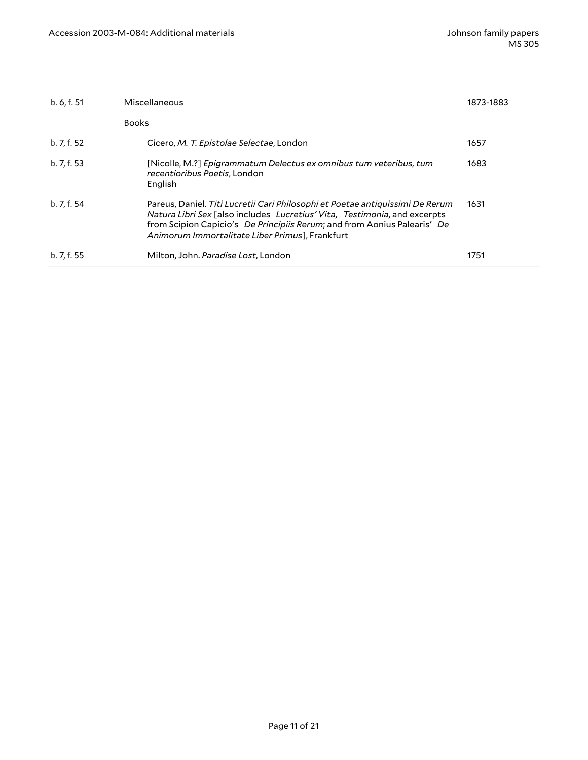| b. 6, f. 51 | Miscellaneous                                                                                                                                                                                                                                                                             | 1873-1883 |
|-------------|-------------------------------------------------------------------------------------------------------------------------------------------------------------------------------------------------------------------------------------------------------------------------------------------|-----------|
|             | <b>Books</b>                                                                                                                                                                                                                                                                              |           |
| b. 7, f. 52 | Cicero, M. T. Epistolae Selectae, London                                                                                                                                                                                                                                                  | 1657      |
| b. 7, f. 53 | [Nicolle, M.?] Epigrammatum Delectus ex omnibus tum veteribus, tum<br>recentioribus Poetis, London<br>English                                                                                                                                                                             | 1683      |
| b. 7, f. 54 | Pareus, Daniel. Titi Lucretii Cari Philosophi et Poetae antiquissimi De Rerum<br>Natura Libri Sex [also includes Lucretius' Vita, Testimonia, and excerpts<br>from Scipion Capicio's De Principiis Rerum; and from Aonius Palearis' De<br>Animorum Immortalitate Liber Primus], Frankfurt | 1631      |
| b. 7, f. 55 | Milton, John. Paradise Lost, London                                                                                                                                                                                                                                                       | 1751      |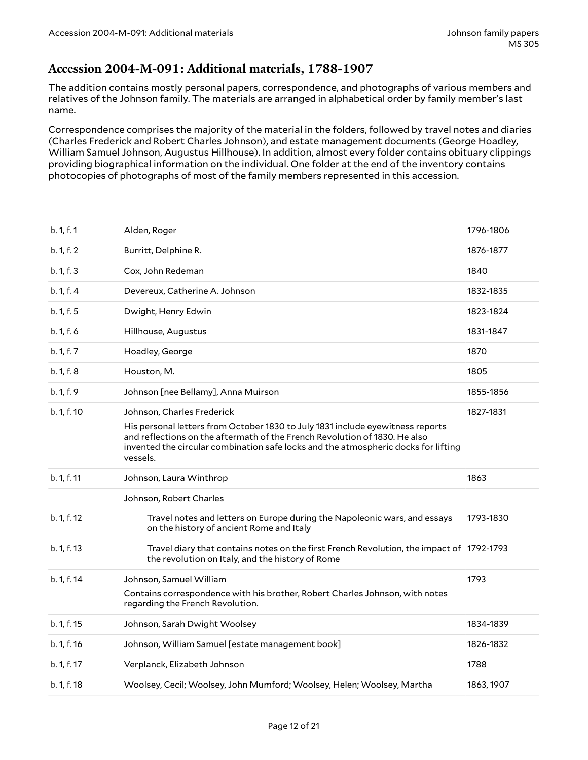#### <span id="page-11-0"></span>**Accession 2004-M-091: Additional materials, 1788-1907**

The addition contains mostly personal papers, correspondence, and photographs of various members and relatives of the Johnson family. The materials are arranged in alphabetical order by family member's last name.

Correspondence comprises the majority of the material in the folders, followed by travel notes and diaries (Charles Frederick and Robert Charles Johnson), and estate management documents (George Hoadley, William Samuel Johnson, Augustus Hillhouse). In addition, almost every folder contains obituary clippings providing biographical information on the individual. One folder at the end of the inventory contains photocopies of photographs of most of the family members represented in this accession.

| b. 1, f. 1  | Alden, Roger                                                                                                                                                                                                                                                                     | 1796-1806 |
|-------------|----------------------------------------------------------------------------------------------------------------------------------------------------------------------------------------------------------------------------------------------------------------------------------|-----------|
| b. 1, f. 2  | Burritt, Delphine R.                                                                                                                                                                                                                                                             | 1876-1877 |
| b. 1, f. 3  | Cox, John Redeman                                                                                                                                                                                                                                                                | 1840      |
| b. 1, f. 4  | Devereux, Catherine A. Johnson                                                                                                                                                                                                                                                   | 1832-1835 |
| b. 1, f. 5  | Dwight, Henry Edwin                                                                                                                                                                                                                                                              | 1823-1824 |
| b. 1, f. 6  | Hillhouse, Augustus                                                                                                                                                                                                                                                              | 1831-1847 |
| b. 1, f. 7  | Hoadley, George                                                                                                                                                                                                                                                                  | 1870      |
| b. 1, f. 8  | Houston, M.                                                                                                                                                                                                                                                                      | 1805      |
| b. 1, f. 9  | Johnson [nee Bellamy], Anna Muirson                                                                                                                                                                                                                                              | 1855-1856 |
| b. 1, f. 10 | Johnson, Charles Frederick<br>His personal letters from October 1830 to July 1831 include eyewitness reports<br>and reflections on the aftermath of the French Revolution of 1830. He also<br>invented the circular combination safe locks and the atmospheric docks for lifting | 1827-1831 |
|             | vessels.                                                                                                                                                                                                                                                                         |           |
| b. 1, f. 11 | Johnson, Laura Winthrop                                                                                                                                                                                                                                                          | 1863      |
|             | Johnson, Robert Charles                                                                                                                                                                                                                                                          |           |
| b. 1, f. 12 | Travel notes and letters on Europe during the Napoleonic wars, and essays<br>on the history of ancient Rome and Italy                                                                                                                                                            | 1793-1830 |
| b. 1, f. 13 | Travel diary that contains notes on the first French Revolution, the impact of 1792-1793<br>the revolution on Italy, and the history of Rome                                                                                                                                     |           |
| b. 1, f. 14 | Johnson, Samuel William<br>Contains correspondence with his brother, Robert Charles Johnson, with notes<br>regarding the French Revolution.                                                                                                                                      | 1793      |
| b. 1, f. 15 | Johnson, Sarah Dwight Woolsey                                                                                                                                                                                                                                                    | 1834-1839 |
| b. 1, f. 16 | Johnson, William Samuel [estate management book]                                                                                                                                                                                                                                 | 1826-1832 |
| b. 1, f. 17 | Verplanck, Elizabeth Johnson                                                                                                                                                                                                                                                     | 1788      |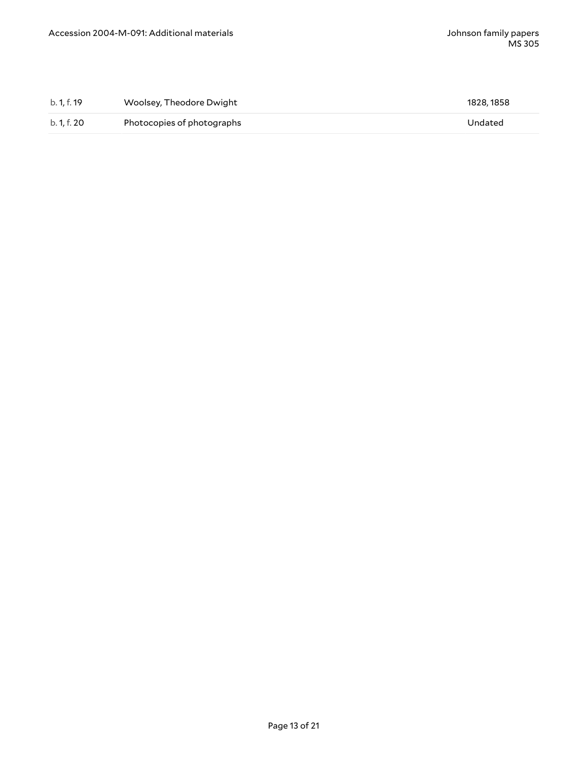| b. 1. f. 19 | Woolsey, Theodore Dwight   | 1828, 1858 |
|-------------|----------------------------|------------|
| b. 1, f. 20 | Photocopies of photographs | Undated    |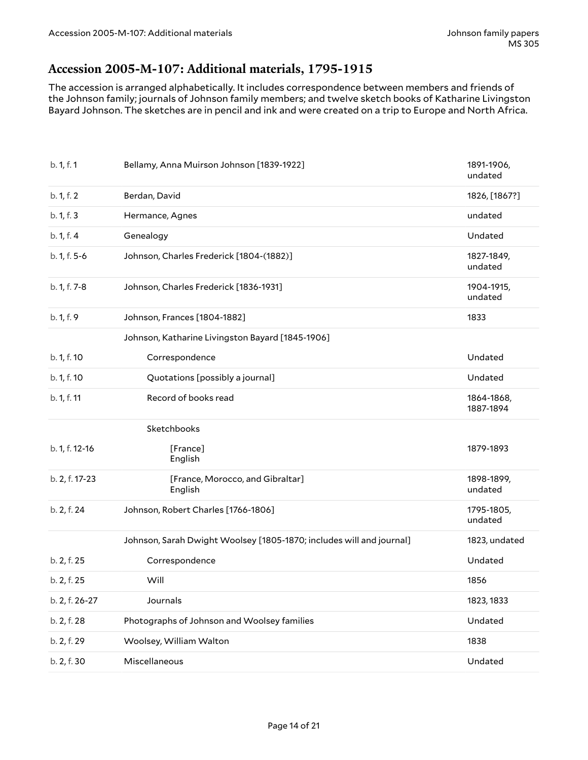### <span id="page-13-0"></span>**Accession 2005-M-107: Additional materials, 1795-1915**

The accession is arranged alphabetically. It includes correspondence between members and friends of the Johnson family; journals of Johnson family members; and twelve sketch books of Katharine Livingston Bayard Johnson. The sketches are in pencil and ink and were created on a trip to Europe and North Africa.

| b. 1, f. 1     | Bellamy, Anna Muirson Johnson [1839-1922]                            | 1891-1906,<br>undated   |
|----------------|----------------------------------------------------------------------|-------------------------|
| b. 1, f. 2     | Berdan, David                                                        | 1826, [1867?]           |
| b. 1, f. 3     | Hermance, Agnes                                                      | undated                 |
| b. 1, f. 4     | Genealogy                                                            | Undated                 |
| b. 1, f. 5-6   | Johnson, Charles Frederick [1804-(1882)]                             | 1827-1849,<br>undated   |
| b. 1, f. 7-8   | Johnson, Charles Frederick [1836-1931]                               | 1904-1915,<br>undated   |
| b. 1, f. 9     | Johnson, Frances [1804-1882]                                         | 1833                    |
|                | Johnson, Katharine Livingston Bayard [1845-1906]                     |                         |
| b. 1, f. 10    | Correspondence                                                       | Undated                 |
| b. 1, f. 10    | Quotations [possibly a journal]                                      | Undated                 |
| b. 1, f. 11    | Record of books read                                                 | 1864-1868,<br>1887-1894 |
|                | Sketchbooks                                                          |                         |
| b. 1, f. 12-16 | [France]<br>English                                                  | 1879-1893               |
| b. 2, f. 17-23 | [France, Morocco, and Gibraltar]<br>English                          | 1898-1899,<br>undated   |
| b. 2, f. 24    | Johnson, Robert Charles [1766-1806]                                  | 1795-1805,<br>undated   |
|                | Johnson, Sarah Dwight Woolsey [1805-1870; includes will and journal] | 1823, undated           |
| b. 2, f. 25    | Correspondence                                                       | Undated                 |
| b. 2, f. 25    | Will                                                                 | 1856                    |
| b. 2, f. 26-27 | Journals                                                             | 1823, 1833              |
| b. 2, f. 28    | Photographs of Johnson and Woolsey families                          | Undated                 |
| b. 2, f. 29    | Woolsey, William Walton                                              | 1838                    |
| b. 2, f. 30    | Miscellaneous                                                        | Undated                 |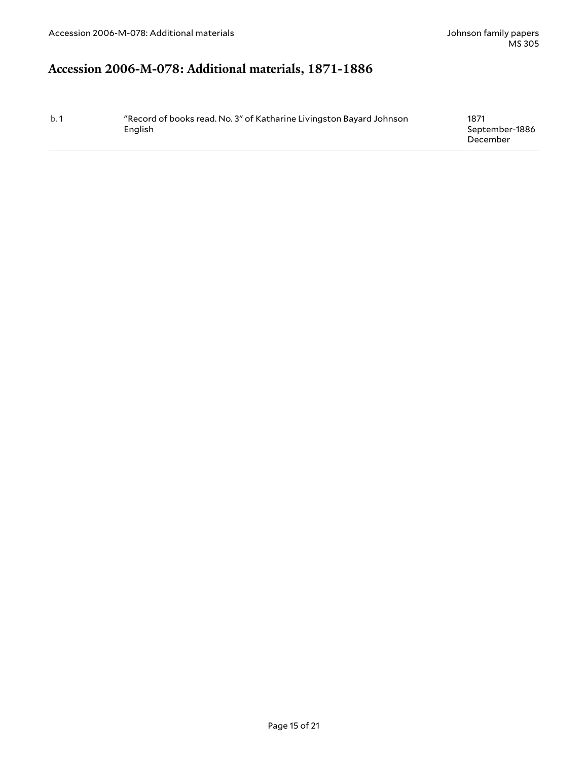# <span id="page-14-0"></span>**Accession 2006-M-078: Additional materials, 1871-1886**

| b.1 | "Record of books read. No. 3" of Katharine Livingston Bayard Johnson | 1871           |
|-----|----------------------------------------------------------------------|----------------|
|     | English                                                              | September-1886 |
|     |                                                                      | December       |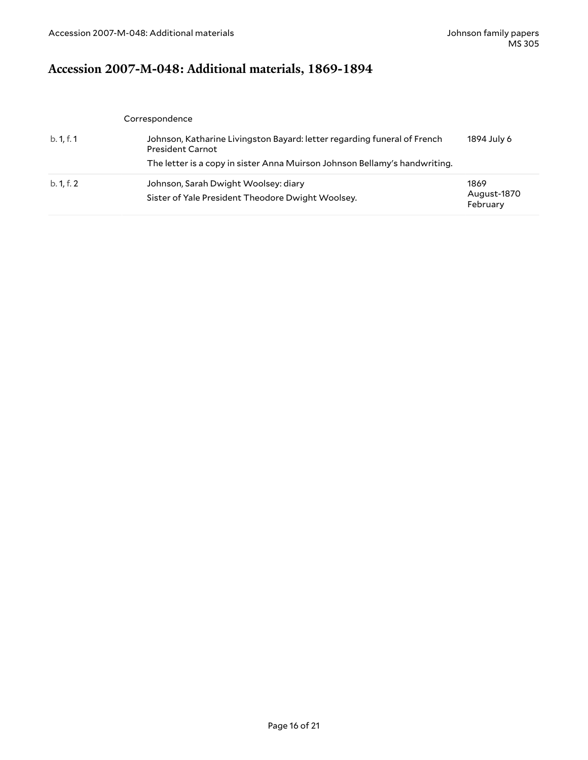# <span id="page-15-0"></span>**Accession 2007-M-048: Additional materials, 1869-1894**

|            | Correspondence                                                                                      |                                 |
|------------|-----------------------------------------------------------------------------------------------------|---------------------------------|
| b. 1, f. 1 | Johnson, Katharine Livingston Bayard: letter regarding funeral of French<br><b>President Carnot</b> | 1894 July 6                     |
|            | The letter is a copy in sister Anna Muirson Johnson Bellamy's handwriting.                          |                                 |
| b. 1, f. 2 | Johnson, Sarah Dwight Woolsey: diary<br>Sister of Yale President Theodore Dwight Woolsey.           | 1869<br>August-1870<br>February |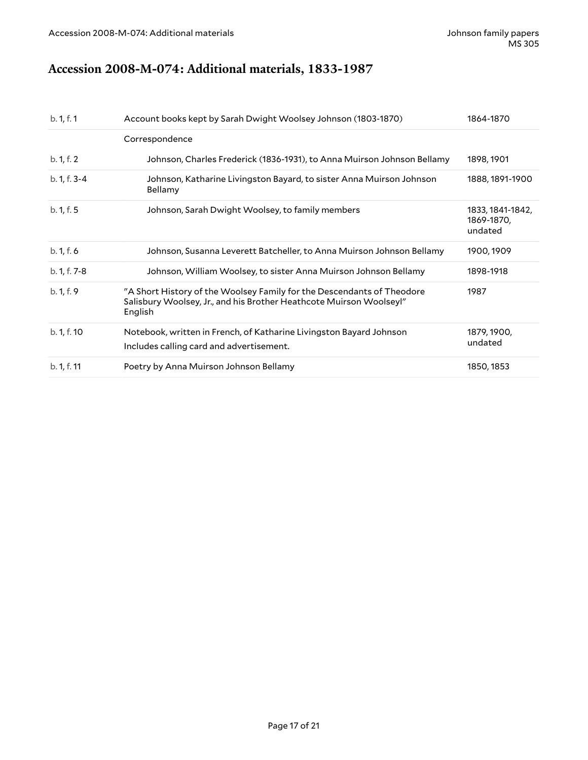# <span id="page-16-0"></span>**Accession 2008-M-074: Additional materials, 1833-1987**

| b. 1, f. 1   | Account books kept by Sarah Dwight Woolsey Johnson (1803-1870)                                                                                           | 1864-1870                                 |
|--------------|----------------------------------------------------------------------------------------------------------------------------------------------------------|-------------------------------------------|
|              | Correspondence                                                                                                                                           |                                           |
| b. 1, f. 2   | Johnson, Charles Frederick (1836-1931), to Anna Muirson Johnson Bellamy                                                                                  | 1898, 1901                                |
| b. 1, f. 3-4 | Johnson, Katharine Livingston Bayard, to sister Anna Muirson Johnson<br>Bellamy                                                                          | 1888, 1891-1900                           |
| b. 1, f. 5   | Johnson, Sarah Dwight Woolsey, to family members                                                                                                         | 1833, 1841-1842,<br>1869-1870,<br>undated |
| b. 1, f. 6   | Johnson, Susanna Leverett Batcheller, to Anna Muirson Johnson Bellamy                                                                                    | 1900, 1909                                |
| b. 1, f. 7-8 | Johnson, William Woolsey, to sister Anna Muirson Johnson Bellamy                                                                                         | 1898-1918                                 |
| b. 1, f. 9   | "A Short History of the Woolsey Family for the Descendants of Theodore<br>Salisbury Woolsey, Jr., and his Brother Heathcote Muirson Woolseyl"<br>English | 1987                                      |
| b. 1, f. 10  | Notebook, written in French, of Katharine Livingston Bayard Johnson<br>Includes calling card and advertisement.                                          | 1879, 1900,<br>undated                    |
| b. 1, f. 11  | Poetry by Anna Muirson Johnson Bellamy                                                                                                                   | 1850, 1853                                |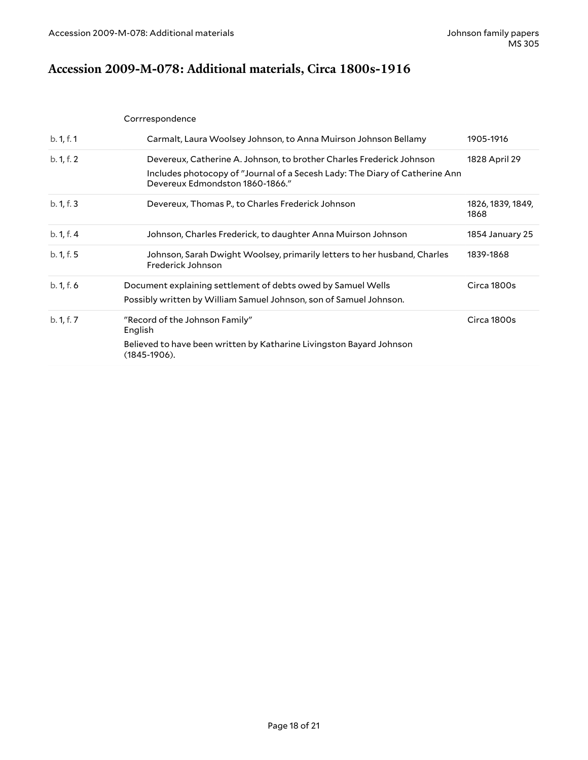# <span id="page-17-0"></span>**Accession 2009-M-078: Additional materials, Circa 1800s-1916**

|            | Corrrespondence                                                                                                                                                                        |                           |
|------------|----------------------------------------------------------------------------------------------------------------------------------------------------------------------------------------|---------------------------|
| b. 1, f. 1 | Carmalt, Laura Woolsey Johnson, to Anna Muirson Johnson Bellamy                                                                                                                        | 1905-1916                 |
| b. 1, f. 2 | Devereux, Catherine A. Johnson, to brother Charles Frederick Johnson<br>Includes photocopy of "Journal of a Secesh Lady: The Diary of Catherine Ann<br>Devereux Edmondston 1860-1866." | 1828 April 29             |
| b. 1, f. 3 | Devereux, Thomas P., to Charles Frederick Johnson                                                                                                                                      | 1826, 1839, 1849,<br>1868 |
| b. 1, f. 4 | Johnson, Charles Frederick, to daughter Anna Muirson Johnson                                                                                                                           | 1854 January 25           |
| b. 1, f. 5 | Johnson, Sarah Dwight Woolsey, primarily letters to her husband, Charles<br>Frederick Johnson                                                                                          | 1839-1868                 |
| b. 1, f. 6 | Document explaining settlement of debts owed by Samuel Wells                                                                                                                           | Circa 1800s               |
|            | Possibly written by William Samuel Johnson, son of Samuel Johnson.                                                                                                                     |                           |
| b. 1, f. 7 | "Record of the Johnson Family"<br>English                                                                                                                                              | Circa 1800s               |
|            | Believed to have been written by Katharine Livingston Bayard Johnson<br>$(1845-1906).$                                                                                                 |                           |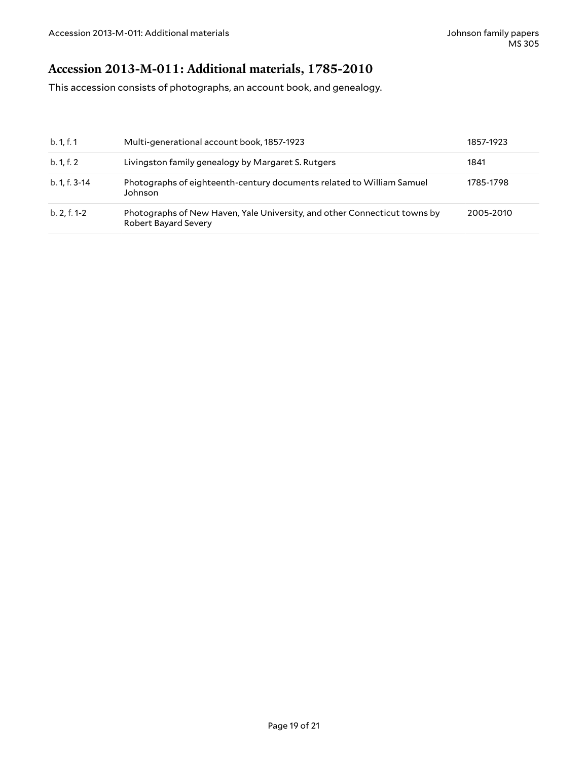# <span id="page-18-0"></span>**Accession 2013-M-011: Additional materials, 1785-2010**

This accession consists of photographs, an account book, and genealogy.

| b. 1, f. 1     | Multi-generational account book, 1857-1923                                                               | 1857-1923 |
|----------------|----------------------------------------------------------------------------------------------------------|-----------|
| b. 1, f. 2     | Livingston family genealogy by Margaret S. Rutgers                                                       | 1841      |
| b. 1, f. 3-14  | Photographs of eighteenth-century documents related to William Samuel<br>Johnson                         | 1785-1798 |
| $b. 2, f. 1-2$ | Photographs of New Haven, Yale University, and other Connecticut towns by<br><b>Robert Bayard Severy</b> | 2005-2010 |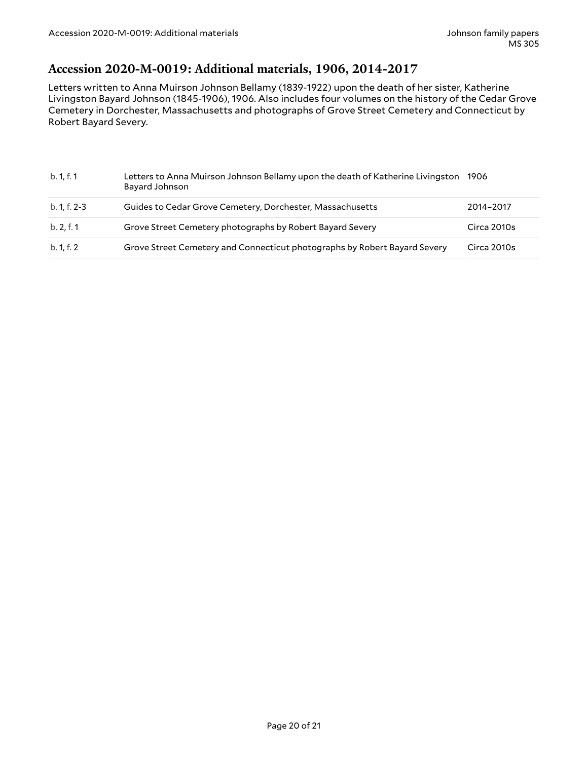#### <span id="page-19-0"></span>**Accession 2020-M-0019: Additional materials, 1906, 2014-2017**

Letters written to Anna Muirson Johnson Bellamy (1839-1922) upon the death of her sister, Katherine Livingston Bayard Johnson (1845-1906), 1906. Also includes four volumes on the history of the Cedar Grove Cemetery in Dorchester, Massachusetts and photographs of Grove Street Cemetery and Connecticut by Robert Bayard Severy.

| b. 1, f. 1   | Letters to Anna Muirson Johnson Bellamy upon the death of Katherine Livingston<br>Bayard Johnson | 1906        |
|--------------|--------------------------------------------------------------------------------------------------|-------------|
| b. 1, f. 2-3 | Guides to Cedar Grove Cemetery, Dorchester, Massachusetts                                        | 2014-2017   |
| b. 2, f. 1   | Grove Street Cemetery photographs by Robert Bayard Severy                                        | Circa 2010s |
| b. 1, f. 2   | Grove Street Cemetery and Connecticut photographs by Robert Bayard Severy                        | Circa 2010s |